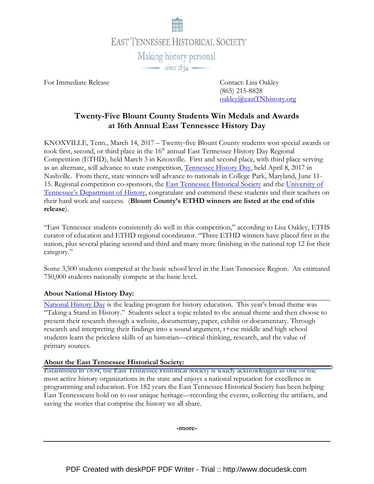

For Immediate Release Contact: Lisa Oakley

 (865) 215-8828 oakley@eastTNhistory.org

# Twenty-Five Blount County Students Win Medals and Awards at 16th Annual East Tennessee History Day

KNOXVILLE, Tenn., March 14, 2017 – Twenty-five Blount County students won special awards or took first, second, or third place in the 16<sup>th</sup> annual East Tennessee History Day Regional Competition (ETHD), held March 3 in Knoxville. First and second place, with third place serving as an alternate, will advance to state competition, Tennessee History Day, held April 8, 2017 in Nashville. From there, state winners will advance to nationals in College Park, Maryland, June 11- 15. Regional competition co-sponsors, the East Tennessee Historical Society and the University of Tennessee's Department of History, congratulate and commend these students and their teachers on their hard work and success. (Blount County's ETHD winners are listed at the end of this release).

"East Tennessee students consistently do well in this competition," according to Lisa Oakley, ETHS curator of education and ETHD regional coordinator. "Three ETHD winners have placed first in the nation, plus several placing second and third and many more finishing in the national top 12 for their category."

Some 3,500 students competed at the basic school level in the East Tennessee Region. An estimated 750,000 students nationally compete at the basic level.

#### About National History Day:

National History Day is the leading program for history education. This year's broad theme was "Taking a Stand in History." Students select a topic related to the annual theme and then choose to present their research through a website, documentary, paper, exhibit or documentary. Through research and interpreting their findings into a sound argument, t+ese middle and high school students learn the priceless skills of an historian—critical thinking, research, and the value of primary sources.

#### About the East Tennessee Historical Society:

Established in 1834, the East Tennessee Historical Society is widely acknowledged as one of the most active history organizations in the state and enjoys a national reputation for excellence in programming and education. For 182 years the East Tennessee Historical Society has been helping East Tennesseans hold on to our unique heritage—recording the events, collecting the artifacts, and saving the stories that comprise the history we all share.

-more-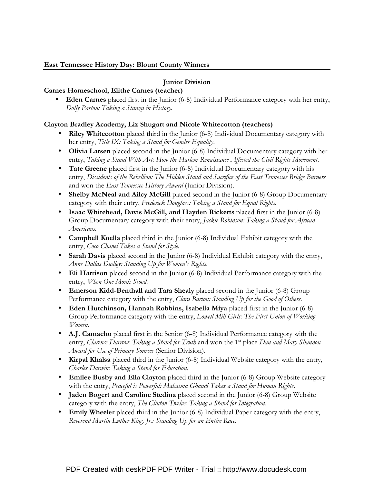## Junior Division

## Carnes Homeschool, Elithe Carnes (teacher)

• Eden Carnes placed first in the Junior (6-8) Individual Performance category with her entry, Dolly Parton: Taking a Stanza in History.

## Clayton Bradley Academy, Liz Shugart and Nicole Whitecotton (teachers)

- Riley Whitecotton placed third in the Junior (6-8) Individual Documentary category with her entry, Title IX: Taking a Stand for Gender Equality.
- Olivia Larsen placed second in the Junior (6-8) Individual Documentary category with her entry, Taking a Stand With Art: How the Harlem Renaissance Affected the Civil Rights Movement.
- Tate Greene placed first in the Junior (6-8) Individual Documentary category with his entry, Dissidents of the Rebellion: The Hidden Stand and Sacrifice of the East Tennessee Bridge Burners and won the East Tennessee History Award (Junior Division).
- Shelby McNeal and Ailcy McGill placed second in the Junior (6-8) Group Documentary category with their entry, Frederick Douglass: Taking a Stand for Equal Rights.
- Isaac Whitehead, Davis McGill, and Hayden Ricketts placed first in the Junior (6-8) Group Documentary category with their entry, Jackie Robinson: Taking a Stand for African Americans.
- **Campbell Koella** placed third in the Junior (6-8) Individual Exhibit category with the entry, Coco Chanel Takes a Stand for Style.
- Sarah Davis placed second in the Junior (6-8) Individual Exhibit category with the entry, Anne Dallas Dudley: Standing Up for Women's Rights.
- Eli Harrison placed second in the Junior (6-8) Individual Performance category with the entry, When One Monk Stood.
- Emerson Kidd-Benthall and Tara Shealy placed second in the Junior (6-8) Group Performance category with the entry, Clara Barton: Standing Up for the Good of Others.
- Eden Hutchinson, Hannah Robbins, Isabella Miya placed first in the Junior (6-8) Group Performance category with the entry, Lowell Mill Girls: The First Union of Working Women.
- A.J. Camacho placed first in the Senior (6-8) Individual Performance category with the entry, Clarence Darrow: Taking a Stand for Truth and won the 1<sup>st</sup> place Dan and Mary Shannon Award for Use of Primary Sources (Senior Division).
- Kirpal Khalsa placed third in the Junior (6-8) Individual Website category with the entry, Charles Darwin: Taking a Stand for Education.
- Emilee Busby and Ella Clayton placed third in the Junior (6-8) Group Website category with the entry, Peaceful is Powerful: Mahatma Ghandi Takes a Stand for Human Rights.
- **Jaden Bogert and Caroline Stedina** placed second in the Junior (6-8) Group Website category with the entry, The Clinton Twelve: Taking a Stand for Integration.
- Emily Wheeler placed third in the Junior (6-8) Individual Paper category with the entry, Reverend Martin Luther King, Jr.: Standing Up for an Entire Race.